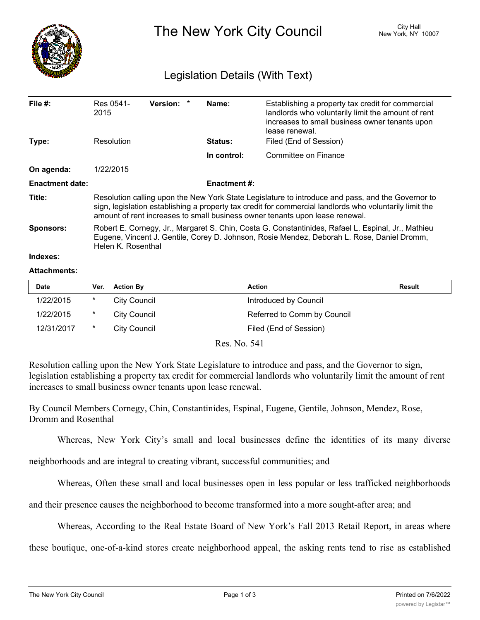

The New York City Council New York, NY 10007

## Legislation Details (With Text)

| File $#$ :             | Res 0541-<br>2015                                                                                                                                                                                                                                                                            | <b>Version:</b> |  | Name:               | Establishing a property tax credit for commercial<br>landlords who voluntarily limit the amount of rent<br>increases to small business owner tenants upon<br>lease renewal. |  |  |
|------------------------|----------------------------------------------------------------------------------------------------------------------------------------------------------------------------------------------------------------------------------------------------------------------------------------------|-----------------|--|---------------------|-----------------------------------------------------------------------------------------------------------------------------------------------------------------------------|--|--|
| Type:                  | Resolution                                                                                                                                                                                                                                                                                   |                 |  | <b>Status:</b>      | Filed (End of Session)                                                                                                                                                      |  |  |
|                        |                                                                                                                                                                                                                                                                                              |                 |  | In control:         | Committee on Finance                                                                                                                                                        |  |  |
| On agenda:             | 1/22/2015                                                                                                                                                                                                                                                                                    |                 |  |                     |                                                                                                                                                                             |  |  |
| <b>Enactment date:</b> |                                                                                                                                                                                                                                                                                              |                 |  | <b>Enactment #:</b> |                                                                                                                                                                             |  |  |
| Title:                 | Resolution calling upon the New York State Legislature to introduce and pass, and the Governor to<br>sign, legislation establishing a property tax credit for commercial landlords who voluntarily limit the<br>amount of rent increases to small business owner tenants upon lease renewal. |                 |  |                     |                                                                                                                                                                             |  |  |
| <b>Sponsors:</b>       | Robert E. Cornegy, Jr., Margaret S. Chin, Costa G. Constantinides, Rafael L. Espinal, Jr., Mathieu<br>Eugene, Vincent J. Gentile, Corey D. Johnson, Rosie Mendez, Deborah L. Rose, Daniel Dromm,<br>Helen K. Rosenthal                                                                       |                 |  |                     |                                                                                                                                                                             |  |  |
| Indexes:               |                                                                                                                                                                                                                                                                                              |                 |  |                     |                                                                                                                                                                             |  |  |
| $\blacksquare$         |                                                                                                                                                                                                                                                                                              |                 |  |                     |                                                                                                                                                                             |  |  |

## **Attachments:**

| <b>Date</b> | Ver.   | <b>Action By</b> | <b>Action</b>               | <b>Result</b> |
|-------------|--------|------------------|-----------------------------|---------------|
| 1/22/2015   | $\ast$ | City Council     | Introduced by Council       |               |
| 1/22/2015   | $\ast$ | City Council     | Referred to Comm by Council |               |
| 12/31/2017  | $\ast$ | City Council     | Filed (End of Session)      |               |

Res. No. 541

Resolution calling upon the New York State Legislature to introduce and pass, and the Governor to sign, legislation establishing a property tax credit for commercial landlords who voluntarily limit the amount of rent increases to small business owner tenants upon lease renewal.

By Council Members Cornegy, Chin, Constantinides, Espinal, Eugene, Gentile, Johnson, Mendez, Rose, Dromm and Rosenthal

Whereas, New York City's small and local businesses define the identities of its many diverse

neighborhoods and are integral to creating vibrant, successful communities; and

Whereas, Often these small and local businesses open in less popular or less trafficked neighborhoods

and their presence causes the neighborhood to become transformed into a more sought-after area; and

Whereas, According to the Real Estate Board of New York's Fall 2013 Retail Report, in areas where

these boutique, one-of-a-kind stores create neighborhood appeal, the asking rents tend to rise as established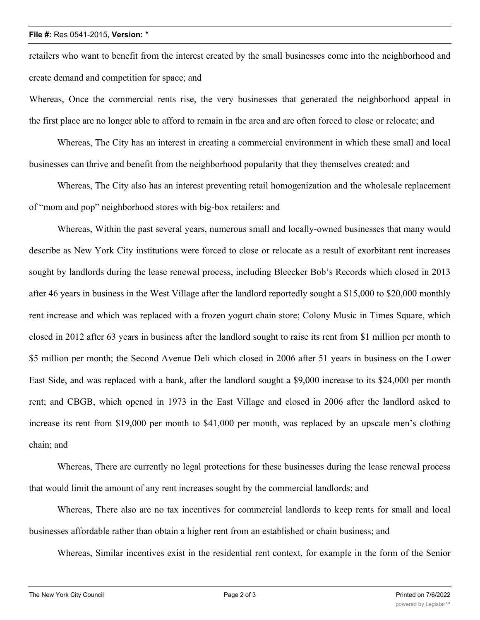## **File #:** Res 0541-2015, **Version:** \*

retailers who want to benefit from the interest created by the small businesses come into the neighborhood and create demand and competition for space; and

Whereas, Once the commercial rents rise, the very businesses that generated the neighborhood appeal in the first place are no longer able to afford to remain in the area and are often forced to close or relocate; and

Whereas, The City has an interest in creating a commercial environment in which these small and local businesses can thrive and benefit from the neighborhood popularity that they themselves created; and

Whereas, The City also has an interest preventing retail homogenization and the wholesale replacement of "mom and pop" neighborhood stores with big-box retailers; and

Whereas, Within the past several years, numerous small and locally-owned businesses that many would describe as New York City institutions were forced to close or relocate as a result of exorbitant rent increases sought by landlords during the lease renewal process, including Bleecker Bob's Records which closed in 2013 after 46 years in business in the West Village after the landlord reportedly sought a \$15,000 to \$20,000 monthly rent increase and which was replaced with a frozen yogurt chain store; Colony Music in Times Square, which closed in 2012 after 63 years in business after the landlord sought to raise its rent from \$1 million per month to \$5 million per month; the Second Avenue Deli which closed in 2006 after 51 years in business on the Lower East Side, and was replaced with a bank, after the landlord sought a \$9,000 increase to its \$24,000 per month rent; and CBGB, which opened in 1973 in the East Village and closed in 2006 after the landlord asked to increase its rent from \$19,000 per month to \$41,000 per month, was replaced by an upscale men's clothing chain; and

Whereas, There are currently no legal protections for these businesses during the lease renewal process that would limit the amount of any rent increases sought by the commercial landlords; and

Whereas, There also are no tax incentives for commercial landlords to keep rents for small and local businesses affordable rather than obtain a higher rent from an established or chain business; and

Whereas, Similar incentives exist in the residential rent context, for example in the form of the Senior